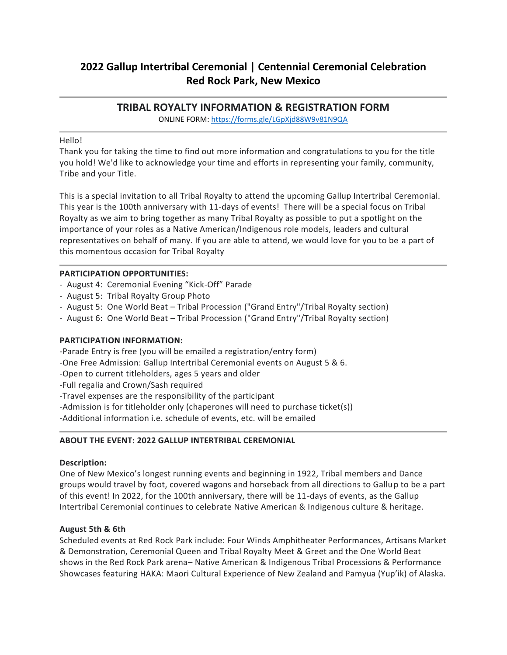# **2022 Gallup Intertribal Ceremonial | Centennial Ceremonial Celebration Red Rock Park, New Mexico**

# **TRIBAL ROYALTY INFORMATION & REGISTRATION FORM**

ONLINE FORM:<https://forms.gle/LGpXjd88W9v81N9QA>

### Hello!

Thank you for taking the time to find out more information and congratulations to you for the title you hold! We'd like to acknowledge your time and efforts in representing your family, community, Tribe and your Title.

This is a special invitation to all Tribal Royalty to attend the upcoming Gallup Intertribal Ceremonial. This year is the 100th anniversary with 11-days of events! There will be a special focus on Tribal Royalty as we aim to bring together as many Tribal Royalty as possible to put a spotlight on the importance of your roles as a Native American/Indigenous role models, leaders and cultural representatives on behalf of many. If you are able to attend, we would love for you to be a part of this momentous occasion for Tribal Royalty

### **PARTICIPATION OPPORTUNITIES:**

- August 4: Ceremonial Evening "Kick-Off" Parade
- August 5: Tribal Royalty Group Photo
- August 5: One World Beat Tribal Procession ("Grand Entry"/Tribal Royalty section)
- August 6: One World Beat Tribal Procession ("Grand Entry"/Tribal Royalty section)

#### **PARTICIPATION INFORMATION:**

-Parade Entry is free (you will be emailed a registration/entry form)

- -One Free Admission: Gallup Intertribal Ceremonial events on August 5 & 6.
- -Open to current titleholders, ages 5 years and older
- -Full regalia and Crown/Sash required
- -Travel expenses are the responsibility of the participant
- -Admission is for titleholder only (chaperones will need to purchase ticket(s))

-Additional information i.e. schedule of events, etc. will be emailed

#### **ABOUT THE EVENT: 2022 GALLUP INTERTRIBAL CEREMONIAL**

#### **Description:**

One of New Mexico's longest running events and beginning in 1922, Tribal members and Dance groups would travel by foot, covered wagons and horseback from all directions to Gallup to be a part of this event! In 2022, for the 100th anniversary, there will be 11-days of events, as the Gallup Intertribal Ceremonial continues to celebrate Native American & Indigenous culture & heritage.

#### **August 5th & 6th**

Scheduled events at Red Rock Park include: Four Winds Amphitheater Performances, Artisans Market & Demonstration, Ceremonial Queen and Tribal Royalty Meet & Greet and the One World Beat shows in the Red Rock Park arena– Native American & Indigenous Tribal Processions & Performance Showcases featuring HAKA: Maori Cultural Experience of New Zealand and Pamyua (Yup'ik) of Alaska.